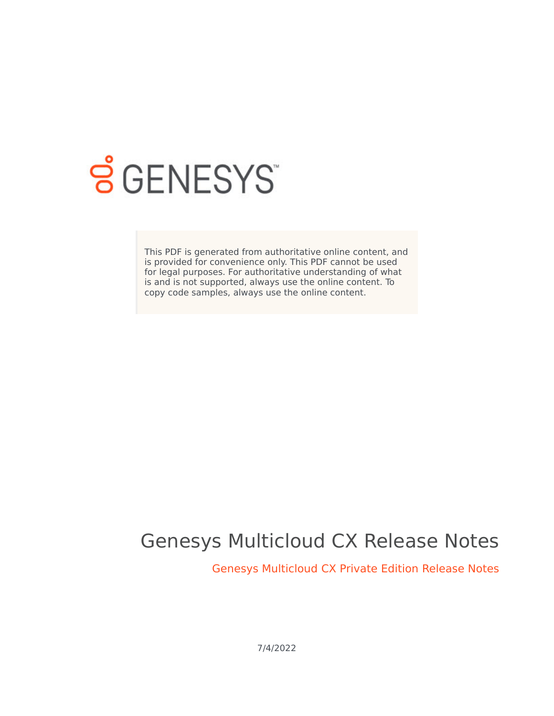

# **SGENESYS**

This PDF is generated from authoritative online content, and is provided for convenience only. This PDF cannot be used for legal purposes. For authoritative understanding of what is and is not supported, always use the online content. To copy code samples, always use the online content.

## Genesys Multicloud CX Release Notes

Genesys Multicloud CX Private Edition Release Notes

7/4/2022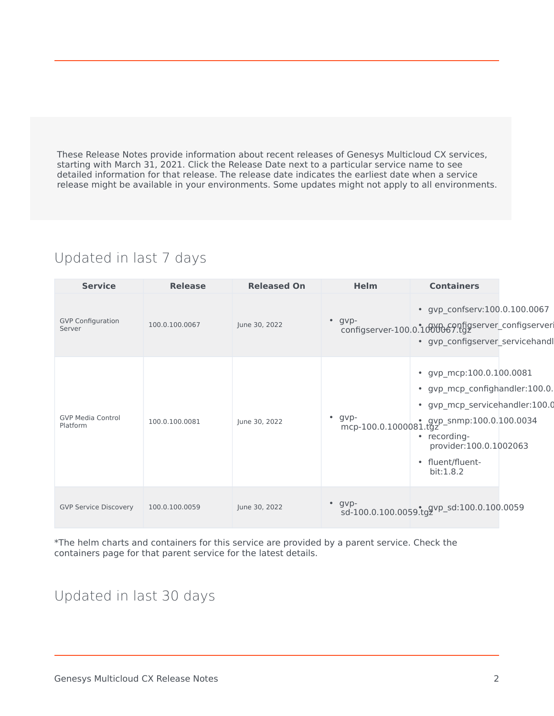These Release Notes provide information about recent releases of Genesys Multicloud CX services, starting with March 31, 2021. Click the Release Date next to a particular service name to see detailed information for that release. The release date indicates the earliest date when a service release might be available in your environments. Some updates might not apply to all environments.

#### Updated in last 7 days

| <b>Service</b>                       | <b>Release</b> | <b>Released On</b> | Helm           | <b>Containers</b>                                                                                                                                                                                                      |  |
|--------------------------------------|----------------|--------------------|----------------|------------------------------------------------------------------------------------------------------------------------------------------------------------------------------------------------------------------------|--|
| <b>GVP Configuration</b><br>Server   | 100.0.100.0067 | June 30, 2022      | $\bullet$ gvp- | • gvp_confserv:100.0.100.0067<br>configserver-100.0.1000069nfigserver_configserver<br>· gvp_configserver_servicehandl                                                                                                  |  |
| <b>GVP Media Control</b><br>Platform | 100.0.100.0081 | June 30, 2022      | gvp-           | • gvp_mcp:100.0.100.0081<br>gvp_mcp_confighandler:100.0.<br>$\bullet$<br>· gvp_mcp_servicehandler:100.0<br>mcp-100.0.1000081.tgz<br>• recording-<br>provider:100.0.1002063<br>fluent/fluent-<br>$\bullet$<br>bit:1.8.2 |  |
| <b>GVP Service Discovery</b>         | 100.0.100.0059 | June 30, 2022      | $\cdot$ gvp-   | sd-100.0.100.0059.tggvp_sd:100.0.100.0059                                                                                                                                                                              |  |

\*The helm charts and containers for this service are provided by a parent service. Check the containers page for that parent service for the latest details.

#### Updated in last 30 days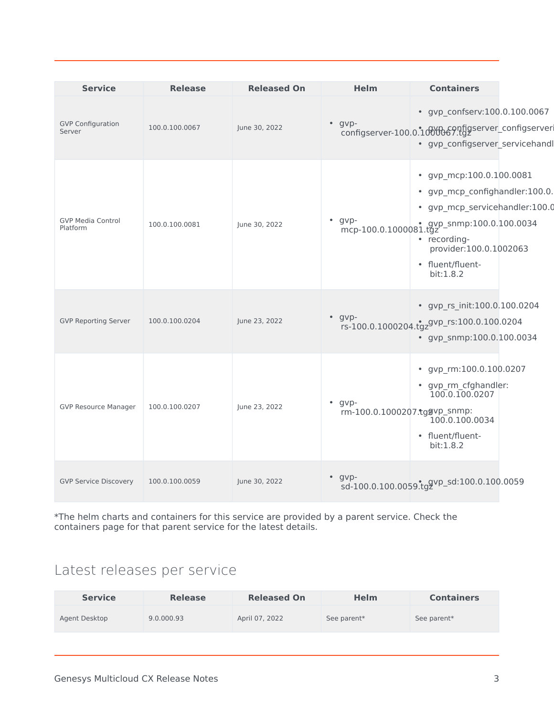| <b>Service</b>                       | <b>Release</b> | <b>Released On</b> | Helm                                           | <b>Containers</b>                                                                                                                                                                                                                |  |
|--------------------------------------|----------------|--------------------|------------------------------------------------|----------------------------------------------------------------------------------------------------------------------------------------------------------------------------------------------------------------------------------|--|
| <b>GVP Configuration</b><br>Server   | 100.0.100.0067 | June 30, 2022      | $•$ gvp-                                       | • gvp_confserv:100.0.100.0067<br>s.r.<br>configserver-100.0.1000069.tgz<br>· gvp_configserver_servicehandl                                                                                                                       |  |
| <b>GVP Media Control</b><br>Platform | 100.0.100.0081 | June 30, 2022      | $•$ gvp-                                       | • gvp_mcp:100.0.100.0081<br>· gvp_mcp_confighandler:100.0.<br>· gvp_mcp_servicehandler:100.0<br>$\text{mcp-100.0.1000081}.$ tgz = snmp:100.0.100.0034<br>• recording-<br>provider:100.0.1002063<br>• fluent/fluent-<br>bit:1.8.2 |  |
| <b>GVP Reporting Server</b>          | 100.0.100.0204 | June 23, 2022      | $•$ gvp-                                       | • gvp_rs_init:100.0.100.0204<br>rs-100.0.1000204.tgz <sup>gvp_rs:100.0.100.0204</sup><br>• gvp_snmp:100.0.100.0034                                                                                                               |  |
| <b>GVP Resource Manager</b>          | 100.0.100.0207 | June 23, 2022      | $\bullet$ gvp-<br>rm-100.0.1000207.tggvp_snmp: | gvp_rm:100.0.100.0207<br>$\bullet$<br>• gvp_rm_cfghandler:<br>100.0.100.0207<br>100.0.100.0034<br>• fluent/fluent-<br>bit:1.8.2                                                                                                  |  |
| <b>GVP Service Discovery</b>         | 100.0.100.0059 | June 30, 2022      | $\cdot$ gvp-                                   | sd-100.0.100.0059.tggvp_sd:100.0.100.0059                                                                                                                                                                                        |  |

\*The helm charts and containers for this service are provided by a parent service. Check the containers page for that parent service for the latest details.

### Latest releases per service

| <b>Service</b> | <b>Release</b> | <b>Released On</b> | <b>Helm</b> | <b>Containers</b> |
|----------------|----------------|--------------------|-------------|-------------------|
| Agent Desktop  | 9.0.000.93     | April 07, 2022     | See parent* | See parent*       |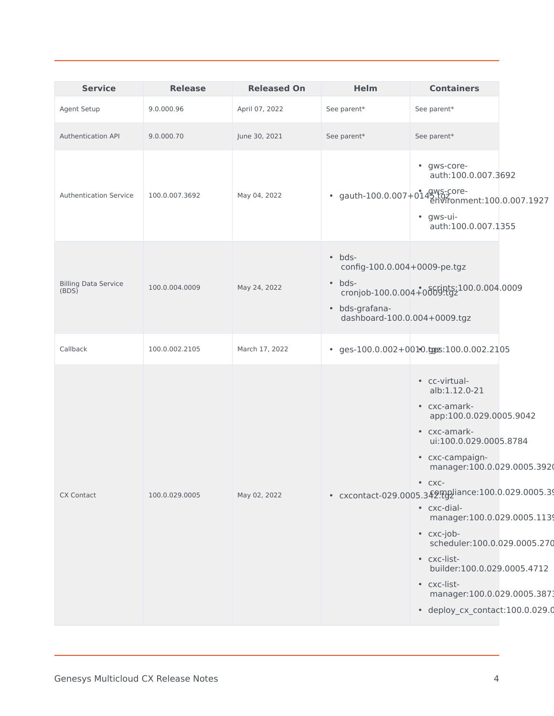| <b>Service</b>                       | <b>Release</b> | <b>Released On</b> | <b>Helm</b>                                                                                                        | <b>Containers</b>                                                                                                                                                                                                                                                                                                                                                                                                   |  |
|--------------------------------------|----------------|--------------------|--------------------------------------------------------------------------------------------------------------------|---------------------------------------------------------------------------------------------------------------------------------------------------------------------------------------------------------------------------------------------------------------------------------------------------------------------------------------------------------------------------------------------------------------------|--|
| <b>Agent Setup</b>                   | 9.0.000.96     | April 07, 2022     | See parent*                                                                                                        | See parent*                                                                                                                                                                                                                                                                                                                                                                                                         |  |
| <b>Authentication API</b>            | 9.0.000.70     | June 30, 2021      | See parent*                                                                                                        | See parent*                                                                                                                                                                                                                                                                                                                                                                                                         |  |
| <b>Authentication Service</b>        | 100.0.007.3692 | May 04, 2022       |                                                                                                                    | • gws-core-<br>auth:100.0.007.3692<br>• gauth-100.0.007+0143.fg-core-<br>environment:100.0.007.1927<br>• gws-ui-<br>auth:100.0.007.1355                                                                                                                                                                                                                                                                             |  |
| <b>Billing Data Service</b><br>(BDS) | 100.0.004.0009 | May 24, 2022       | $\bullet$ bds-<br>config-100.0.004+0009-pe.tgz<br>$\bullet$ bds-<br>· bds-grafana-<br>dashboard-100.0.004+0009.tgz | cronjob-100.0.004+0dbghtg-100.0.004.0009                                                                                                                                                                                                                                                                                                                                                                            |  |
| Callback                             | 100.0.002.2105 | March 17, 2022     |                                                                                                                    | $\cdot$ ges-100.0.002+0010.ggz:100.0.002.2105                                                                                                                                                                                                                                                                                                                                                                       |  |
| <b>CX Contact</b>                    | 100.0.029.0005 | May 02, 2022       |                                                                                                                    | • cc-virtual-<br>alb:1.12.0-21<br>• cxc-amark-<br>app:100.0.029.0005.9042<br>• cxc-amark-<br>ui:100.0.029.0005.8784<br>• cxc-campaign-<br>manager:100.0.029.0005.3920<br>$\bullet$ CXC-<br>• cxc-dial-<br>manager: 100.0.029.0005.1139<br>• cxc-job-<br>scheduler:100.0.029.0005.270<br>• cxc-list-<br>builder:100.0.029.0005.4712<br>• cxc-list-<br>manager:100.0.029.0005.3873<br>· deploy_cx_contact:100.0.029.0 |  |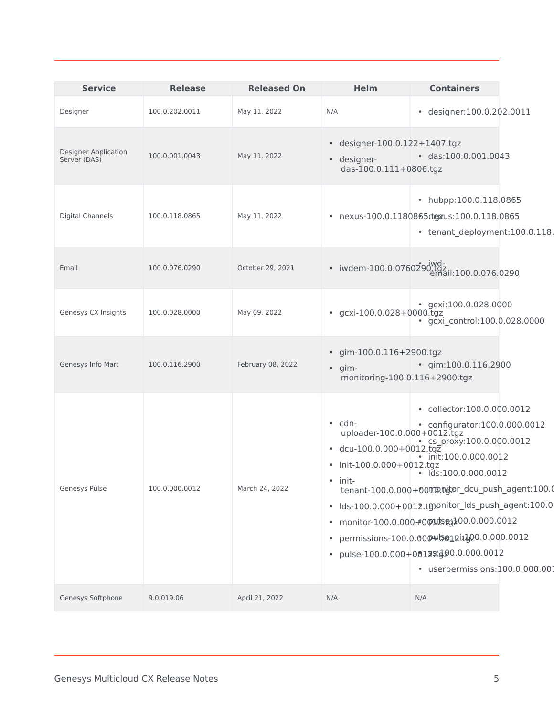| <b>Service</b>                              | <b>Release</b> | <b>Released On</b> | <b>Helm</b>                                                                                                           | <b>Containers</b>                                                                                                                                                                                                                                                                                                                                                                                                                           |
|---------------------------------------------|----------------|--------------------|-----------------------------------------------------------------------------------------------------------------------|---------------------------------------------------------------------------------------------------------------------------------------------------------------------------------------------------------------------------------------------------------------------------------------------------------------------------------------------------------------------------------------------------------------------------------------------|
| Designer                                    | 100.0.202.0011 | May 11, 2022       | N/A                                                                                                                   | · designer:100.0.202.0011                                                                                                                                                                                                                                                                                                                                                                                                                   |
| <b>Designer Application</b><br>Server (DAS) | 100.0.001.0043 | May 11, 2022       | • designer-100.0.122+1407.tgz<br>· designer-<br>das-100.0.111+0806.tgz                                                | $\cdot$ das:100.0.001.0043                                                                                                                                                                                                                                                                                                                                                                                                                  |
| <b>Digital Channels</b>                     | 100.0.118.0865 | May 11, 2022       |                                                                                                                       | • hubpp:100.0.118.0865<br>• nexus-100.0.1180865rtgzus:100.0.118.0865<br>• tenant_deployment:100.0.118.                                                                                                                                                                                                                                                                                                                                      |
| Email                                       | 100.0.076.0290 | October 29, 2021   |                                                                                                                       | - iwdem-100.0.0760290\tdl<br>- iwdem-100.0.0760290\tmail:100.0.076.0290                                                                                                                                                                                                                                                                                                                                                                     |
| Genesys CX Insights                         | 100.0.028.0000 | May 09, 2022       | • gcxi-100.0.028+0000.tgz                                                                                             | qcxi:100.0.028.0000<br>· gcxi_control:100.0.028.0000                                                                                                                                                                                                                                                                                                                                                                                        |
| Genesys Info Mart                           | 100.0.116.2900 | February 08, 2022  | • gim-100.0.116+2900.tgz<br>$\bullet$ gim-<br>monitoring-100.0.116+2900.tgz                                           | $\cdot$ gim:100.0.116.2900                                                                                                                                                                                                                                                                                                                                                                                                                  |
| Genesys Pulse                               | 100.0.000.0012 | March 24, 2022     | $\cdot$ cdn-<br>uploader-100.0.000+0012.tgz<br>$\cdot$ dcu-100.0.000+0012.tgz<br>• init-100.0.000+0012.tgz<br>• init- | • collector:100.0.000.0012<br>• configurator:100.0.000.0012<br>• cs_proxy:100.0.000.0012<br>init:100.0.000.0012<br>$\cdot$ $\text{Ids:100.0.000.0012}$<br>tenant-100.0.000+00montpor_dcu_push_agent:100.0<br>· Ids-100.0.000+0012.tgponitor_Ids_push_agent:100.0<br>• monitor-100.0.000+00125eg200.0.000.0012<br>• permissions-100.0.000\sengit_020.0.000.0012<br>• pulse-100.0.000+0012std20.0.000.0012<br>· userpermissions:100.0.000.001 |
| Genesys Softphone                           | 9.0.019.06     | April 21, 2022     | N/A                                                                                                                   | N/A                                                                                                                                                                                                                                                                                                                                                                                                                                         |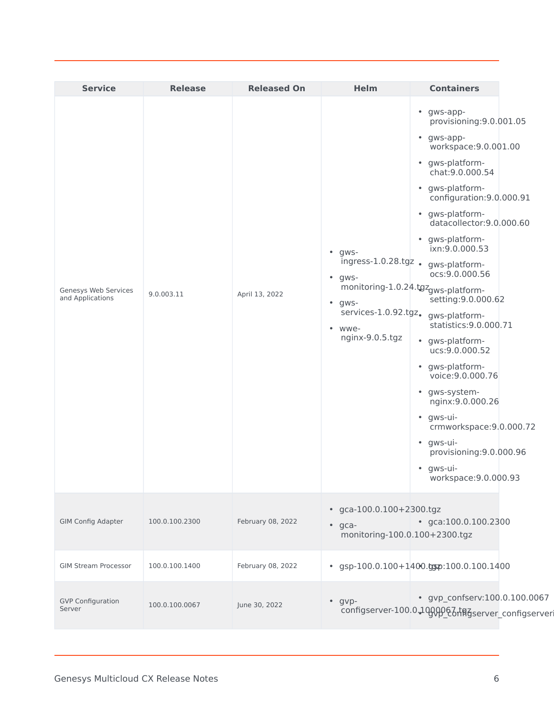| <b>Service</b>                           | <b>Release</b> | <b>Released On</b> | <b>Helm</b>                                                                                                                       | <b>Containers</b>                                                                                                                                                                                                                                                                                                                                                                                                                                                                                                                                                                                                                               |  |
|------------------------------------------|----------------|--------------------|-----------------------------------------------------------------------------------------------------------------------------------|-------------------------------------------------------------------------------------------------------------------------------------------------------------------------------------------------------------------------------------------------------------------------------------------------------------------------------------------------------------------------------------------------------------------------------------------------------------------------------------------------------------------------------------------------------------------------------------------------------------------------------------------------|--|
| Genesys Web Services<br>and Applications | 9.0.003.11     | April 13, 2022     | $\bullet$ gws-<br>ingress-1.0.28.tgz.<br>gws-<br>$\bullet$<br>$\bullet$ gws-<br>services-1.0.92.tgz.<br>• wwe-<br>nginx-9.0.5.tgz | • gws-app-<br>provisioning: 9.0.001.05<br>• gws-app-<br>workspace: 9.0.001.00<br>• gws-platform-<br>chat: 9.0.000.54<br>• gws-platform-<br>configuration: 9.0.000.91<br>• gws-platform-<br>datacollector: 9.0.000.60<br>• gws-platform-<br>ixn:9.0.000.53<br>qws-platform-<br>ocs: 9.0.000.56<br>monitoring-1.0.24.tgzgws-platform-<br>setting: 9.0.000.62<br>gws-platform-<br>statistics: 9.0.000.71<br>• gws-platform-<br>ucs:9.0.000.52<br>• gws-platform-<br>voice: 9.0.000.76<br>· gws-system-<br>nginx: 9.0.000.26<br>• gws-ui-<br>crmworkspace:9.0.000.72<br>• gws-ui-<br>provisioning: 9.0.000.96<br>• gws-ui-<br>workspace: 9.0.000.93 |  |
| <b>GIM Config Adapter</b>                | 100.0.100.2300 | February 08, 2022  | • gca-100.0.100+2300.tgz<br>$•$ gca-<br>monitoring-100.0.100+2300.tgz                                                             | $\cdot$ gca:100.0.100.2300                                                                                                                                                                                                                                                                                                                                                                                                                                                                                                                                                                                                                      |  |
| <b>GIM Stream Processor</b>              | 100.0.100.1400 | February 08, 2022  |                                                                                                                                   | $\cdot$ gsp-100.0.100+1400.gsp:100.0.100.1400                                                                                                                                                                                                                                                                                                                                                                                                                                                                                                                                                                                                   |  |
| <b>GVP Configuration</b><br>Server       | 100.0.100.0067 | June 30, 2022      | $•$ gvp-                                                                                                                          | • gvp_confserv:100.0.100.0067<br>configserver-100.0.1000067tfgserver_configserver                                                                                                                                                                                                                                                                                                                                                                                                                                                                                                                                                               |  |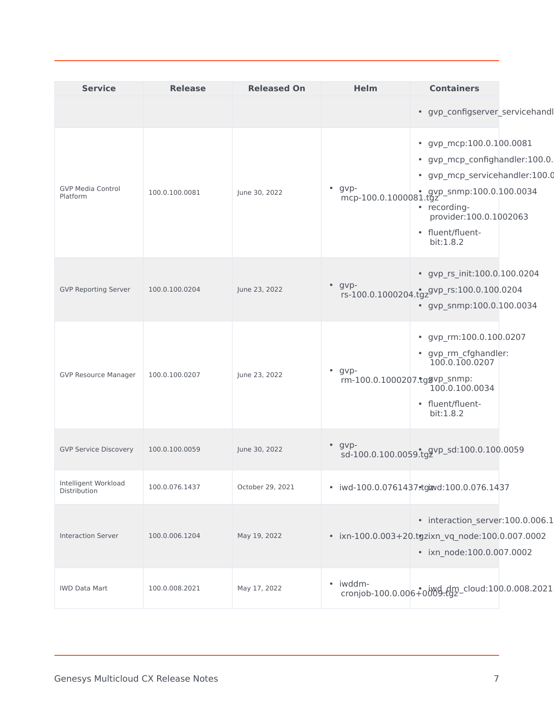| <b>Service</b>                       | <b>Release</b> | <b>Released On</b> | <b>Helm</b>    | <b>Containers</b>                                                                                                                                                                                                                       |
|--------------------------------------|----------------|--------------------|----------------|-----------------------------------------------------------------------------------------------------------------------------------------------------------------------------------------------------------------------------------------|
|                                      |                |                    |                | · gvp_configserver_servicehandl                                                                                                                                                                                                         |
| <b>GVP Media Control</b><br>Platform | 100.0.100.0081 | June 30, 2022      | $\cdot$ gvp-   | • gvp_mcp:100.0.100.0081<br>· gvp_mcp_confighandler:100.0.<br>· gvp_mcp_servicehandler:100.0<br>$\text{mcp-100.0.1000081}. \text{gyp\_s nmp:100.0.100.0034}$<br>• recording-<br>provider:100.0.1002063<br>• fluent/fluent-<br>bit:1.8.2 |
| <b>GVP Reporting Server</b>          | 100.0.100.0204 | June 23, 2022      | $\bullet$ gvp- | • gvp_rs_init:100.0.100.0204<br>rs-100.0.1000204.tgz <sup>gvp_rs:100.0.100.0204</sup><br>• gvp_snmp:100.0.100.0034                                                                                                                      |
| <b>GVP Resource Manager</b>          | 100.0.100.0207 | June 23, 2022      | $\bullet$ gvp- | • gvp_rm:100.0.100.0207<br>• gvp_rm_cfghandler:<br>100.0.100.0207<br>rm-100.0.1000207.tggvp_snmp:<br>100.0.100.0034<br>• fluent/fluent-<br>bit:1.8.2                                                                                    |
| <b>GVP Service Discovery</b>         | 100.0.100.0059 | June 30, 2022      | $•$ gvp-       | sd-100.0.100.0059.tggvp_sd:100.0.100.0059                                                                                                                                                                                               |
| Intelligent Workload<br>Distribution | 100.0.076.1437 | October 29, 2021   |                | · iwd-100.0.0761437.tgizvd:100.0.076.1437                                                                                                                                                                                               |
| <b>Interaction Server</b>            | 100.0.006.1204 | May 19, 2022       |                | · interaction_server:100.0.006.1<br>· ixn-100.0.003+20.tgzixn_vq_node:100.0.007.0002<br>• ixn_node:100.0.007.0002                                                                                                                       |
| <b>IWD Data Mart</b>                 | 100.0.008.2021 | May 17, 2022       | • iwddm-       | cronjob-100.0.006+0009-tgz-cloud:100.0.008.2021                                                                                                                                                                                         |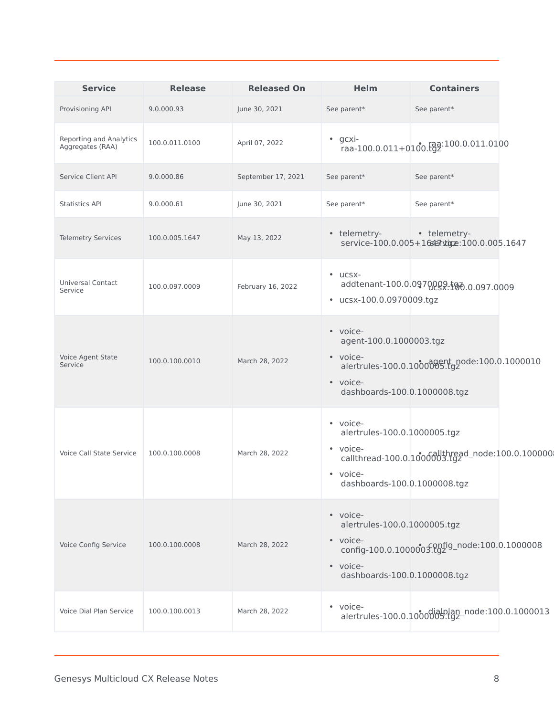| <b>Service</b>                              | <b>Release</b> | <b>Released On</b> | <b>Helm</b>                                                                                      | <b>Containers</b>                                           |
|---------------------------------------------|----------------|--------------------|--------------------------------------------------------------------------------------------------|-------------------------------------------------------------|
| Provisioning API                            | 9.0.000.93     | June 30, 2021      | See parent*                                                                                      | See parent*                                                 |
| Reporting and Analytics<br>Aggregates (RAA) | 100.0.011.0100 | April 07, 2022     | gcxi-<br>$\bullet$                                                                               | raa-100.0.011+0100. $(gq$ <sup>2:100.0.011.0100</sup>       |
| Service Client API                          | 9.0.000.86     | September 17, 2021 | See parent*                                                                                      | See parent*                                                 |
| <b>Statistics API</b>                       | 9.0.000.61     | June 30, 2021      | See parent*                                                                                      | See parent*                                                 |
| <b>Telemetry Services</b>                   | 100.0.005.1647 | May 13, 2022       | • telemetry-                                                                                     | • telemetry-<br>service-100.0.005+16servigne:100.0.005.1647 |
| Universal Contact<br>Service                | 100.0.097.0009 | February 16, 2022  | $\cdot$ ucsx-<br>• ucsx-100.0.0970009.tgz                                                        | addtenant-100.0.0970009.100.097.0009                        |
| <b>Voice Agent State</b><br>Service         | 100.0.100.0010 | March 28, 2022     | • voice-<br>agent-100.0.1000003.tgz<br>• voice-<br>· voice-<br>dashboards-100.0.1000008.tgz      | alertrules-100.0.10000095.tgz                               |
| Voice Call State Service                    | 100.0.100.0008 | March 28, 2022     | • voice-<br>alertrules-100.0.1000005.tgz<br>• voice-<br>• voice-<br>dashboards-100.0.1000008.tgz | callthread-100.0.1000003.tg2d_node:100.0.100000             |
| Voice Config Service                        | 100.0.100.0008 | March 28, 2022     | • voice-<br>alertrules-100.0.1000005.tgz<br>· voice-<br>· voice-<br>dashboards-100.0.1000008.tgz | config-100.0.1000003.tgz = node:100.0.1000008               |
| Voice Dial Plan Service                     | 100.0.100.0013 | March 28, 2022     | • voice-                                                                                         | alertrules-100.0.1000005.tgz-node:100.0.1000013             |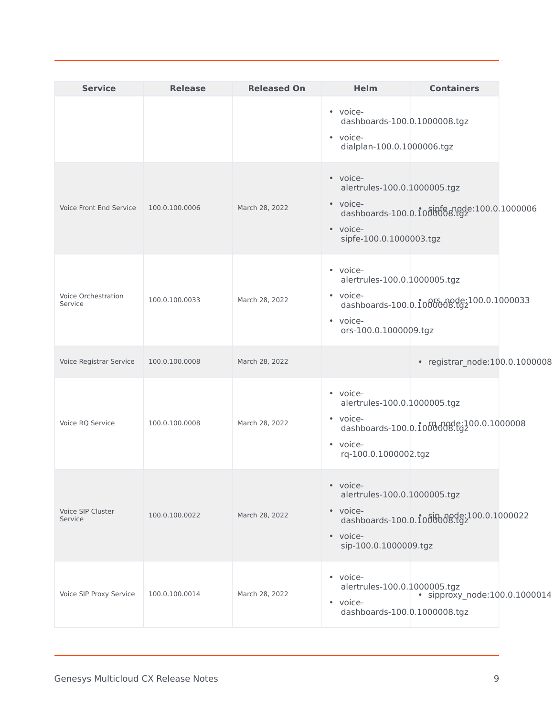| <b>Service</b>                        | <b>Release</b> | <b>Released On</b> | <b>Helm</b>                                                                                 | <b>Containers</b>                                 |  |
|---------------------------------------|----------------|--------------------|---------------------------------------------------------------------------------------------|---------------------------------------------------|--|
|                                       |                |                    | • voice-<br>dashboards-100.0.1000008.tgz<br>• voice-<br>dialplan-100.0.1000006.tgz          |                                                   |  |
| <b>Voice Front End Service</b>        | 100.0.100.0006 | March 28, 2022     | • voice-<br>alertrules-100.0.1000005.tgz<br>• voice-<br>· voice-<br>sipfe-100.0.1000003.tgz | dashboards-100.0.1000006 dashboards-100.0.1000006 |  |
| <b>Voice Orchestration</b><br>Service | 100.0.100.0033 | March 28, 2022     | • voice-<br>alertrules-100.0.1000005.tgz<br>• voice-<br>• voice-<br>ors-100.0.1000009.tgz   | dashboards-100.0.1000000.192100.0.1000033         |  |
| Voice Registrar Service               | 100.0.100.0008 | March 28, 2022     |                                                                                             | • registrar_node:100.0.1000008                    |  |
| Voice RQ Service                      | 100.0.100.0008 | March 28, 2022     | • voice-<br>alertrules-100.0.1000005.tgz<br>• voice-<br>• voice-<br>rq-100.0.1000002.tgz    | dashboards-100.0.1000008.tgz                      |  |
| Voice SIP Cluster<br>Service          | 100.0.100.0022 | March 28, 2022     | • voice-<br>alertrules-100.0.1000005.tgz<br>· voice-<br>· voice-<br>sip-100.0.1000009.tgz   | dashboards-100.0.1000008.gz100.0.1000022          |  |
| Voice SIP Proxy Service               | 100.0.100.0014 | March 28, 2022     | • voice-<br>alertrules-100.0.1000005.tgz<br>• voice-<br>dashboards-100.0.1000008.tgz        | · sipproxy_node:100.0.1000014                     |  |